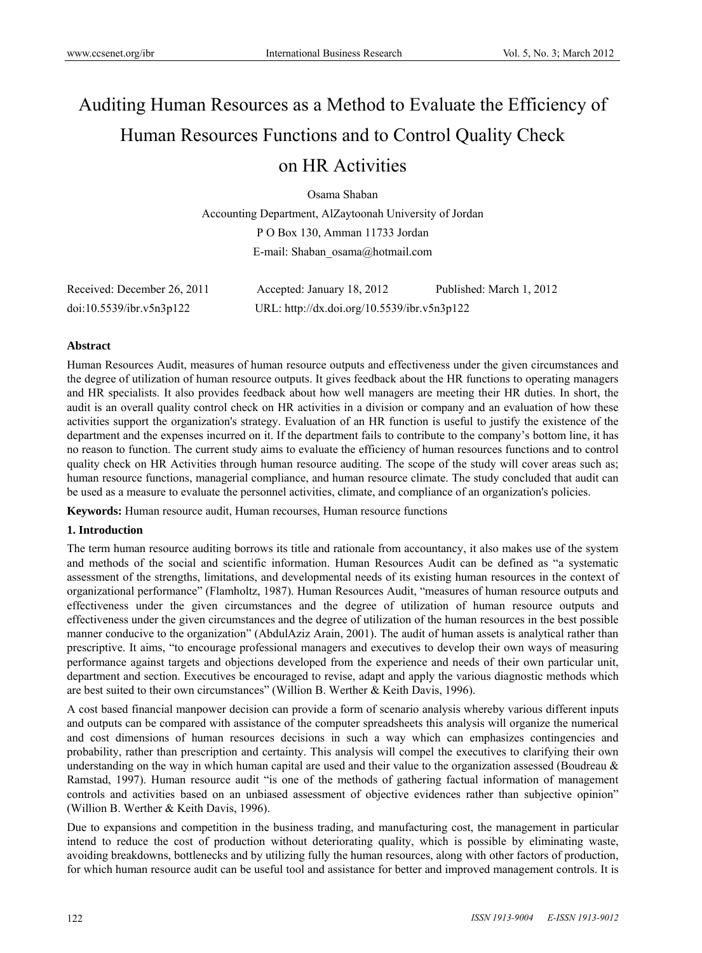# Auditing Human Resources as a Method to Evaluate the Efficiency of Human Resources Functions and to Control Quality Check on HR Activities

Osama Shaban

Accounting Department, AlZaytoonah University of Jordan P O Box 130, Amman 11733 Jordan E-mail: Shaban\_osama@hotmail.com

| Received: December 26, 2011 | Accepted: January 18, 2012                  | Published: March 1, 2012 |
|-----------------------------|---------------------------------------------|--------------------------|
| doi:10.5539/ibr.v5n3p122    | URL: http://dx.doi.org/10.5539/ibr.v5n3p122 |                          |

## **Abstract**

Human Resources Audit, measures of human resource outputs and effectiveness under the given circumstances and the degree of utilization of human resource outputs. It gives feedback about the HR functions to operating managers and HR specialists. It also provides feedback about how well managers are meeting their HR duties. In short, the audit is an overall quality control check on HR activities in a division or company and an evaluation of how these activities support the organization's strategy. Evaluation of an HR function is useful to justify the existence of the department and the expenses incurred on it. If the department fails to contribute to the company's bottom line, it has no reason to function. The current study aims to evaluate the efficiency of human resources functions and to control quality check on HR Activities through human resource auditing. The scope of the study will cover areas such as; human resource functions, managerial compliance, and human resource climate. The study concluded that audit can be used as a measure to evaluate the personnel activities, climate, and compliance of an organization's policies.

**Keywords:** Human resource audit, Human recourses, Human resource functions

## **1. Introduction**

The term human resource auditing borrows its title and rationale from accountancy, it also makes use of the system and methods of the social and scientific information. Human Resources Audit can be defined as "a systematic assessment of the strengths, limitations, and developmental needs of its existing human resources in the context of organizational performance" (Flamholtz, 1987). Human Resources Audit, "measures of human resource outputs and effectiveness under the given circumstances and the degree of utilization of human resource outputs and effectiveness under the given circumstances and the degree of utilization of the human resources in the best possible manner conducive to the organization" (AbdulAziz Arain, 2001). The audit of human assets is analytical rather than prescriptive. It aims, "to encourage professional managers and executives to develop their own ways of measuring performance against targets and objections developed from the experience and needs of their own particular unit, department and section. Executives be encouraged to revise, adapt and apply the various diagnostic methods which are best suited to their own circumstances" (Willion B. Werther & Keith Davis, 1996).

A cost based financial manpower decision can provide a form of scenario analysis whereby various different inputs and outputs can be compared with assistance of the computer spreadsheets this analysis will organize the numerical and cost dimensions of human resources decisions in such a way which can emphasizes contingencies and probability, rather than prescription and certainty. This analysis will compel the executives to clarifying their own understanding on the way in which human capital are used and their value to the organization assessed (Boudreau & Ramstad, 1997). Human resource audit "is one of the methods of gathering factual information of management controls and activities based on an unbiased assessment of objective evidences rather than subjective opinion" (Willion B. Werther & Keith Davis, 1996).

Due to expansions and competition in the business trading, and manufacturing cost, the management in particular intend to reduce the cost of production without deteriorating quality, which is possible by eliminating waste, avoiding breakdowns, bottlenecks and by utilizing fully the human resources, along with other factors of production, for which human resource audit can be useful tool and assistance for better and improved management controls. It is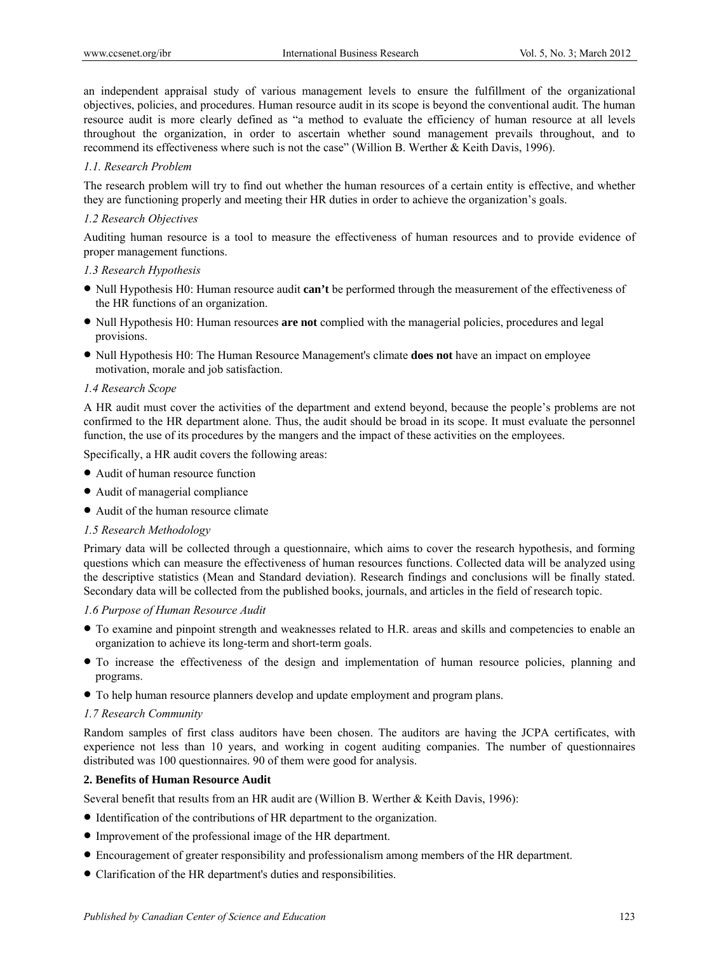an independent appraisal study of various management levels to ensure the fulfillment of the organizational objectives, policies, and procedures. Human resource audit in its scope is beyond the conventional audit. The human resource audit is more clearly defined as "a method to evaluate the efficiency of human resource at all levels throughout the organization, in order to ascertain whether sound management prevails throughout, and to recommend its effectiveness where such is not the case" (Willion B. Werther & Keith Davis, 1996).

## *1.1. Research Problem*

The research problem will try to find out whether the human resources of a certain entity is effective, and whether they are functioning properly and meeting their HR duties in order to achieve the organization's goals.

## *1.2 Research Objectives*

Auditing human resource is a tool to measure the effectiveness of human resources and to provide evidence of proper management functions.

## *1.3 Research Hypothesis*

- Null Hypothesis H0: Human resource audit **can't** be performed through the measurement of the effectiveness of the HR functions of an organization.
- Null Hypothesis H0: Human resources **are not** complied with the managerial policies, procedures and legal provisions.
- Null Hypothesis H0: The Human Resource Management's climate **does not** have an impact on employee motivation, morale and job satisfaction.

## *1.4 Research Scope*

A HR audit must cover the activities of the department and extend beyond, because the people's problems are not confirmed to the HR department alone. Thus, the audit should be broad in its scope. It must evaluate the personnel function, the use of its procedures by the mangers and the impact of these activities on the employees.

Specifically, a HR audit covers the following areas:

- Audit of human resource function
- Audit of managerial compliance
- Audit of the human resource climate

## *1.5 Research Methodology*

Primary data will be collected through a questionnaire, which aims to cover the research hypothesis, and forming questions which can measure the effectiveness of human resources functions. Collected data will be analyzed using the descriptive statistics (Mean and Standard deviation). Research findings and conclusions will be finally stated. Secondary data will be collected from the published books, journals, and articles in the field of research topic.

## *1.6 Purpose of Human Resource Audit*

- To examine and pinpoint strength and weaknesses related to H.R. areas and skills and competencies to enable an organization to achieve its long-term and short-term goals.
- To increase the effectiveness of the design and implementation of human resource policies, planning and programs.
- To help human resource planners develop and update employment and program plans.

## *1.7 Research Community*

Random samples of first class auditors have been chosen. The auditors are having the JCPA certificates, with experience not less than 10 years, and working in cogent auditing companies. The number of questionnaires distributed was 100 questionnaires. 90 of them were good for analysis.

## **2. Benefits of Human Resource Audit**

Several benefit that results from an HR audit are (Willion B. Werther & Keith Davis, 1996):

- Identification of the contributions of HR department to the organization.
- Improvement of the professional image of the HR department.
- Encouragement of greater responsibility and professionalism among members of the HR department.
- Clarification of the HR department's duties and responsibilities.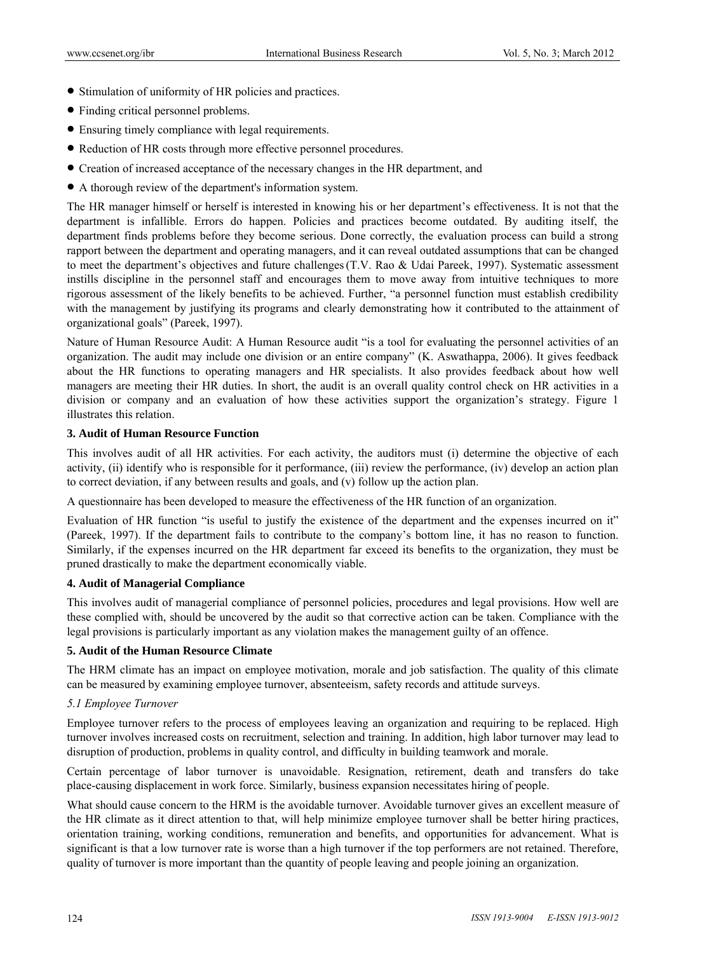- Stimulation of uniformity of HR policies and practices.
- Finding critical personnel problems.
- Ensuring timely compliance with legal requirements.
- Reduction of HR costs through more effective personnel procedures.
- Creation of increased acceptance of the necessary changes in the HR department, and
- A thorough review of the department's information system.

The HR manager himself or herself is interested in knowing his or her department's effectiveness. It is not that the department is infallible. Errors do happen. Policies and practices become outdated. By auditing itself, the department finds problems before they become serious. Done correctly, the evaluation process can build a strong rapport between the department and operating managers, and it can reveal outdated assumptions that can be changed to meet the department's objectives and future challenges(T.V. Rao & Udai Pareek, 1997). Systematic assessment instills discipline in the personnel staff and encourages them to move away from intuitive techniques to more rigorous assessment of the likely benefits to be achieved. Further, "a personnel function must establish credibility with the management by justifying its programs and clearly demonstrating how it contributed to the attainment of organizational goals" (Pareek, 1997).

Nature of Human Resource Audit: A Human Resource audit "is a tool for evaluating the personnel activities of an organization. The audit may include one division or an entire company" (K. Aswathappa, 2006). It gives feedback about the HR functions to operating managers and HR specialists. It also provides feedback about how well managers are meeting their HR duties. In short, the audit is an overall quality control check on HR activities in a division or company and an evaluation of how these activities support the organization's strategy. Figure 1 illustrates this relation.

## **3. Audit of Human Resource Function**

This involves audit of all HR activities. For each activity, the auditors must (i) determine the objective of each activity, (ii) identify who is responsible for it performance, (iii) review the performance, (iv) develop an action plan to correct deviation, if any between results and goals, and (v) follow up the action plan.

A questionnaire has been developed to measure the effectiveness of the HR function of an organization.

Evaluation of HR function "is useful to justify the existence of the department and the expenses incurred on it" (Pareek, 1997). If the department fails to contribute to the company's bottom line, it has no reason to function. Similarly, if the expenses incurred on the HR department far exceed its benefits to the organization, they must be pruned drastically to make the department economically viable.

#### **4. Audit of Managerial Compliance**

This involves audit of managerial compliance of personnel policies, procedures and legal provisions. How well are these complied with, should be uncovered by the audit so that corrective action can be taken. Compliance with the legal provisions is particularly important as any violation makes the management guilty of an offence.

#### **5. Audit of the Human Resource Climate**

The HRM climate has an impact on employee motivation, morale and job satisfaction. The quality of this climate can be measured by examining employee turnover, absenteeism, safety records and attitude surveys.

## *5.1 Employee Turnover*

Employee turnover refers to the process of employees leaving an organization and requiring to be replaced. High turnover involves increased costs on recruitment, selection and training. In addition, high labor turnover may lead to disruption of production, problems in quality control, and difficulty in building teamwork and morale.

Certain percentage of labor turnover is unavoidable. Resignation, retirement, death and transfers do take place-causing displacement in work force. Similarly, business expansion necessitates hiring of people.

What should cause concern to the HRM is the avoidable turnover. Avoidable turnover gives an excellent measure of the HR climate as it direct attention to that, will help minimize employee turnover shall be better hiring practices, orientation training, working conditions, remuneration and benefits, and opportunities for advancement. What is significant is that a low turnover rate is worse than a high turnover if the top performers are not retained. Therefore, quality of turnover is more important than the quantity of people leaving and people joining an organization.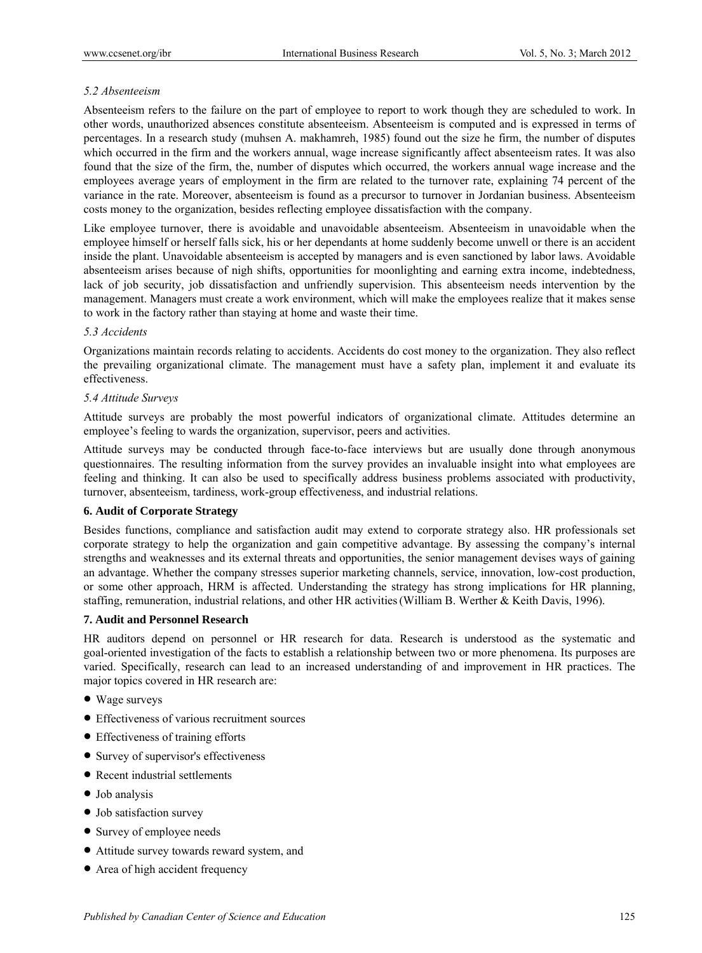## *5.2 Absenteeism*

Absenteeism refers to the failure on the part of employee to report to work though they are scheduled to work. In other words, unauthorized absences constitute absenteeism. Absenteeism is computed and is expressed in terms of percentages. In a research study (muhsen A. makhamreh, 1985) found out the size he firm, the number of disputes which occurred in the firm and the workers annual, wage increase significantly affect absenteeism rates. It was also found that the size of the firm, the, number of disputes which occurred, the workers annual wage increase and the employees average years of employment in the firm are related to the turnover rate, explaining 74 percent of the variance in the rate. Moreover, absenteeism is found as a precursor to turnover in Jordanian business. Absenteeism costs money to the organization, besides reflecting employee dissatisfaction with the company.

Like employee turnover, there is avoidable and unavoidable absenteeism. Absenteeism in unavoidable when the employee himself or herself falls sick, his or her dependants at home suddenly become unwell or there is an accident inside the plant. Unavoidable absenteeism is accepted by managers and is even sanctioned by labor laws. Avoidable absenteeism arises because of nigh shifts, opportunities for moonlighting and earning extra income, indebtedness, lack of job security, job dissatisfaction and unfriendly supervision. This absenteeism needs intervention by the management. Managers must create a work environment, which will make the employees realize that it makes sense to work in the factory rather than staying at home and waste their time.

## *5.3 Accidents*

Organizations maintain records relating to accidents. Accidents do cost money to the organization. They also reflect the prevailing organizational climate. The management must have a safety plan, implement it and evaluate its effectiveness.

## *5.4 Attitude Surveys*

Attitude surveys are probably the most powerful indicators of organizational climate. Attitudes determine an employee's feeling to wards the organization, supervisor, peers and activities.

Attitude surveys may be conducted through face-to-face interviews but are usually done through anonymous questionnaires. The resulting information from the survey provides an invaluable insight into what employees are feeling and thinking. It can also be used to specifically address business problems associated with productivity, turnover, absenteeism, tardiness, work-group effectiveness, and industrial relations.

## **6. Audit of Corporate Strategy**

Besides functions, compliance and satisfaction audit may extend to corporate strategy also. HR professionals set corporate strategy to help the organization and gain competitive advantage. By assessing the company's internal strengths and weaknesses and its external threats and opportunities, the senior management devises ways of gaining an advantage. Whether the company stresses superior marketing channels, service, innovation, low-cost production, or some other approach, HRM is affected. Understanding the strategy has strong implications for HR planning, staffing, remuneration, industrial relations, and other HR activities(William B. Werther & Keith Davis, 1996).

## **7. Audit and Personnel Research**

HR auditors depend on personnel or HR research for data. Research is understood as the systematic and goal-oriented investigation of the facts to establish a relationship between two or more phenomena. Its purposes are varied. Specifically, research can lead to an increased understanding of and improvement in HR practices. The major topics covered in HR research are:

- Wage surveys
- Effectiveness of various recruitment sources
- Effectiveness of training efforts
- Survey of supervisor's effectiveness
- Recent industrial settlements
- $\bullet$  Job analysis
- Job satisfaction survey
- Survey of employee needs
- Attitude survey towards reward system, and
- Area of high accident frequency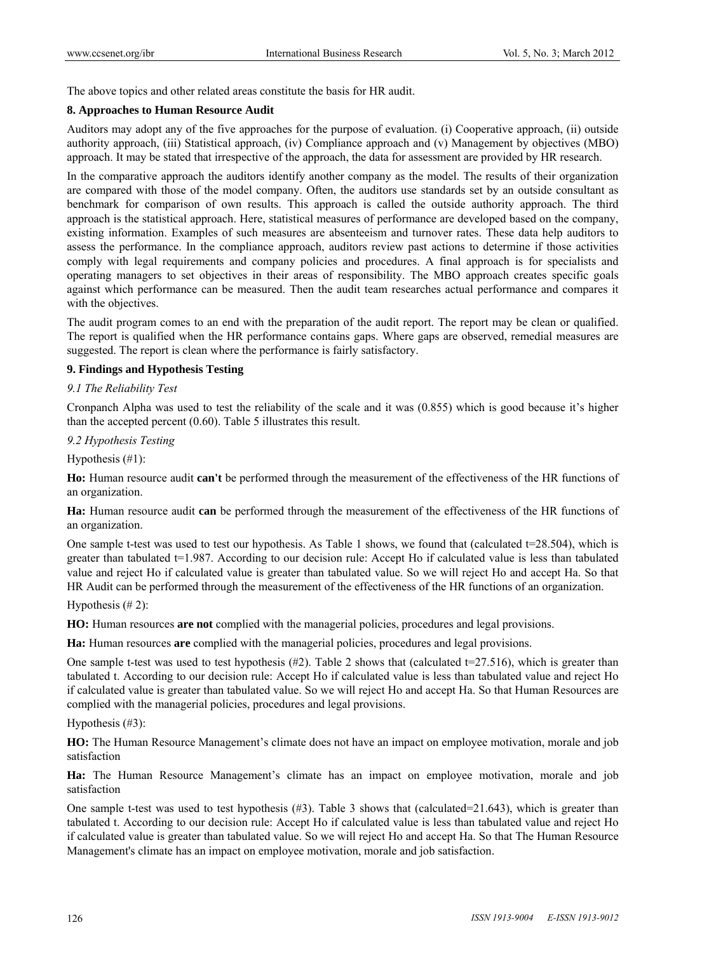The above topics and other related areas constitute the basis for HR audit.

#### **8. Approaches to Human Resource Audit**

Auditors may adopt any of the five approaches for the purpose of evaluation. (i) Cooperative approach, (ii) outside authority approach, (iii) Statistical approach, (iv) Compliance approach and (v) Management by objectives (MBO) approach. It may be stated that irrespective of the approach, the data for assessment are provided by HR research.

In the comparative approach the auditors identify another company as the model. The results of their organization are compared with those of the model company. Often, the auditors use standards set by an outside consultant as benchmark for comparison of own results. This approach is called the outside authority approach. The third approach is the statistical approach. Here, statistical measures of performance are developed based on the company, existing information. Examples of such measures are absenteeism and turnover rates. These data help auditors to assess the performance. In the compliance approach, auditors review past actions to determine if those activities comply with legal requirements and company policies and procedures. A final approach is for specialists and operating managers to set objectives in their areas of responsibility. The MBO approach creates specific goals against which performance can be measured. Then the audit team researches actual performance and compares it with the objectives.

The audit program comes to an end with the preparation of the audit report. The report may be clean or qualified. The report is qualified when the HR performance contains gaps. Where gaps are observed, remedial measures are suggested. The report is clean where the performance is fairly satisfactory.

#### **9. Findings and Hypothesis Testing**

#### *9.1 The Reliability Test*

Cronpanch Alpha was used to test the reliability of the scale and it was (0.855) which is good because it's higher than the accepted percent (0.60). Table 5 illustrates this result.

#### *9.2 Hypothesis Testing*

Hypothesis (#1):

**Ho:** Human resource audit **can't** be performed through the measurement of the effectiveness of the HR functions of an organization.

**Ha:** Human resource audit **can** be performed through the measurement of the effectiveness of the HR functions of an organization.

One sample t-test was used to test our hypothesis. As Table 1 shows, we found that (calculated  $t=28.504$ ), which is greater than tabulated t=1.987. According to our decision rule: Accept Ho if calculated value is less than tabulated value and reject Ho if calculated value is greater than tabulated value. So we will reject Ho and accept Ha. So that HR Audit can be performed through the measurement of the effectiveness of the HR functions of an organization.

#### Hypothesis  $(\# 2)$ :

**HO:** Human resources **are not** complied with the managerial policies, procedures and legal provisions.

**Ha:** Human resources **are** complied with the managerial policies, procedures and legal provisions.

One sample t-test was used to test hypothesis  $(\#2)$ . Table 2 shows that (calculated  $t=27.516$ ), which is greater than tabulated t. According to our decision rule: Accept Ho if calculated value is less than tabulated value and reject Ho if calculated value is greater than tabulated value. So we will reject Ho and accept Ha. So that Human Resources are complied with the managerial policies, procedures and legal provisions.

#### Hypothesis (#3):

**HO:** The Human Resource Management's climate does not have an impact on employee motivation, morale and job satisfaction

**Ha:** The Human Resource Management's climate has an impact on employee motivation, morale and job satisfaction

One sample t-test was used to test hypothesis  $(\#3)$ . Table 3 shows that (calculated=21.643), which is greater than tabulated t. According to our decision rule: Accept Ho if calculated value is less than tabulated value and reject Ho if calculated value is greater than tabulated value. So we will reject Ho and accept Ha. So that The Human Resource Management's climate has an impact on employee motivation, morale and job satisfaction.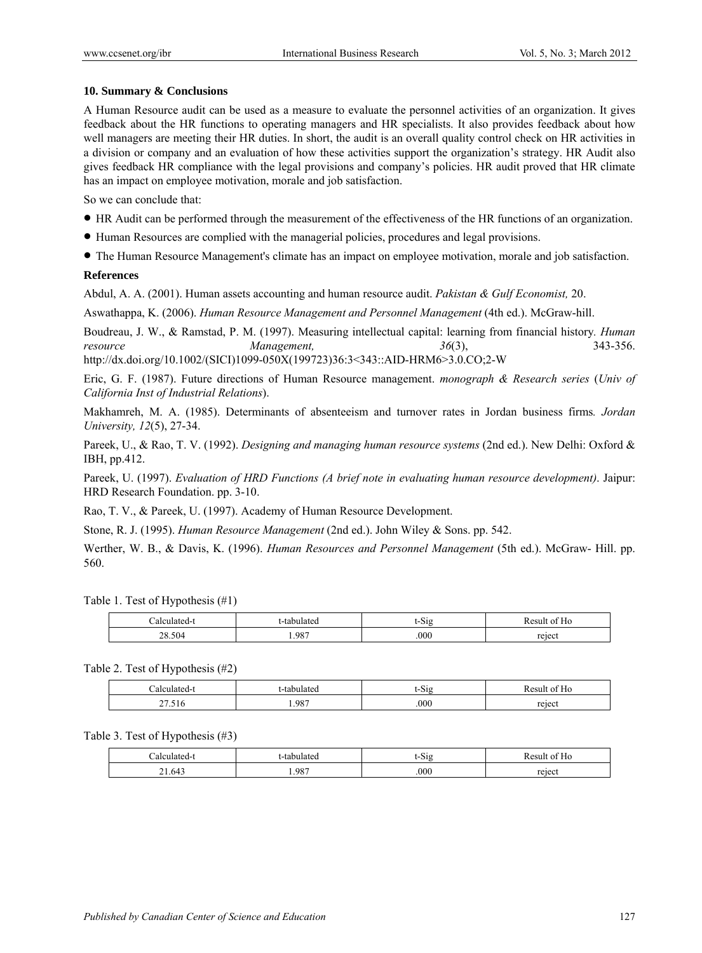## **10. Summary & Conclusions**

A Human Resource audit can be used as a measure to evaluate the personnel activities of an organization. It gives feedback about the HR functions to operating managers and HR specialists. It also provides feedback about how well managers are meeting their HR duties. In short, the audit is an overall quality control check on HR activities in a division or company and an evaluation of how these activities support the organization's strategy. HR Audit also gives feedback HR compliance with the legal provisions and company's policies. HR audit proved that HR climate has an impact on employee motivation, morale and job satisfaction.

So we can conclude that:

- HR Audit can be performed through the measurement of the effectiveness of the HR functions of an organization.
- Human Resources are complied with the managerial policies, procedures and legal provisions.
- The Human Resource Management's climate has an impact on employee motivation, morale and job satisfaction.

## **References**

Abdul, A. A. (2001). Human assets accounting and human resource audit. *Pakistan & Gulf Economist,* 20.

Aswathappa, K. (2006). *Human Resource Management and Personnel Management* (4th ed.). McGraw-hill.

Boudreau, J. W., & Ramstad, P. M. (1997). Measuring intellectual capital: learning from financial history*. Human resource Management, 36*(3), 343-356. http://dx.doi.org/10.1002/(SICI)1099-050X(199723)36:3<343::AID-HRM6>3.0.CO;2-W

Eric, G. F. (1987). Future directions of Human Resource management. *monograph & Research series* (*Univ of California Inst of Industrial Relations*).

Makhamreh, M. A. (1985). Determinants of absenteeism and turnover rates in Jordan business firms*. Jordan University, 12*(5), 27-34.

Pareek, U., & Rao, T. V. (1992). *Designing and managing human resource systems* (2nd ed.). New Delhi: Oxford & IBH, pp.412.

Pareek, U. (1997). *Evaluation of HRD Functions (A brief note in evaluating human resource development)*. Jaipur: HRD Research Foundation. pp. 3-10.

Rao, T. V., & Pareek, U. (1997). Academy of Human Resource Development.

Stone, R. J. (1995). *Human Resource Management* (2nd ed.). John Wiley & Sons. pp. 542.

Werther, W. B., & Davis, K. (1996). *Human Resources and Personnel Management* (5th ed.). McGraw- Hill. pp. 560.

Table 1. Test of Hypothesis (#1)

| $\sim$             | ulatec | 19   | $\sim$ $-$<br>$. \n\rightharpoonup$<br>Ħ٥ |
|--------------------|--------|------|-------------------------------------------|
| 50/<br>no<br>20.JU | .987   | .000 | <b>FO100</b><br>cc                        |

Table 2. Test of Hypothesis (#2)

| 'aleu<br>Tated<br>$+$<br>птатси |       | 519 | $\sim$ $-$<br>$\cdot$ $\sim$ $+$<br>$\Delta$ CI<br>Ho |  |
|---------------------------------|-------|-----|-------------------------------------------------------|--|
| $\sim$<br>$-1$<br>.016<br>ا ہے۔ | 1.987 | 000 | reject                                                |  |

#### Table 3. Test of Hypothesis (#3)

| alculated-<br>ulated<br>$\sim$<br>~~ |        | .<br>ാവഴ | $\sim$ $\sim$ $\sim$<br>esult of Ho |                 |
|--------------------------------------|--------|----------|-------------------------------------|-----------------|
|                                      | 21.643 | 1.987    | .000                                | 0.1201<br>cicci |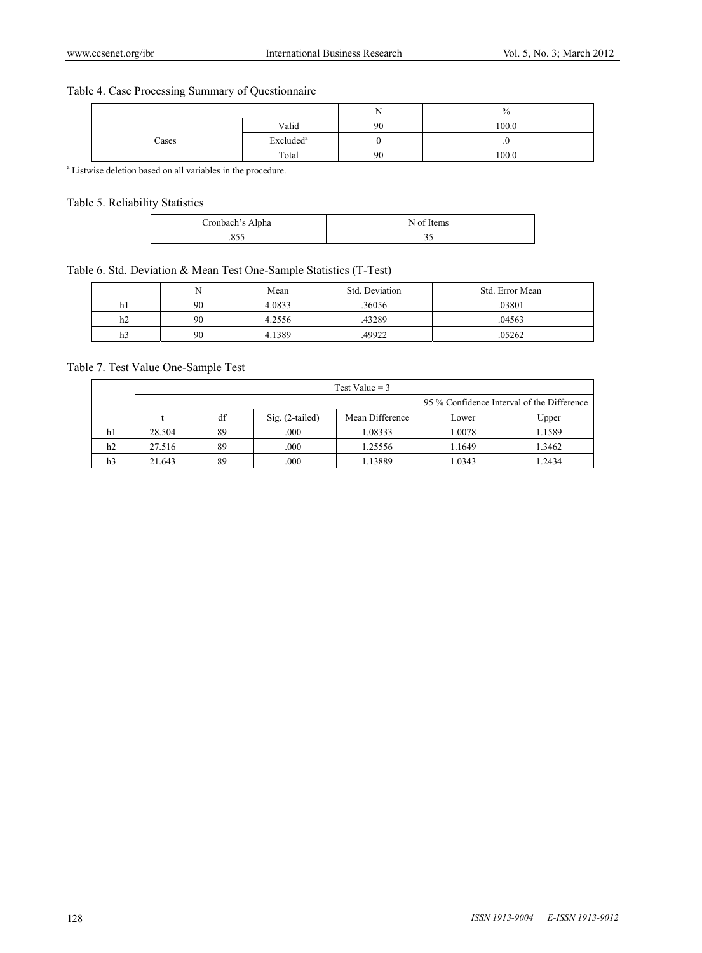# Table 4. Case Processing Summary of Questionnaire

|       |                       | . . | $\frac{0}{0}$ |
|-------|-----------------------|-----|---------------|
|       | Valid                 | 90  | 100.0         |
| Cases | Excluded <sup>a</sup> |     |               |
|       | Total                 | 90  | 100.0         |

a Listwise deletion based on all variables in the procedure.

# Table 5. Reliability Statistics

| Cronbach's Alpha | N of Items |
|------------------|------------|
| 0 c c            |            |

## Table 6. Std. Deviation & Mean Test One-Sample Statistics (T-Test)

|    |    | Mean   | Std. Deviation | Std. Error Mean |
|----|----|--------|----------------|-----------------|
| hl | 90 | 4.0833 | 36056          | .03801          |
| h2 | 90 | 4.2556 | .43289         | .04563          |
| h3 | 90 | 4.1389 | 49922          | .05262          |

# Table 7. Test Value One-Sample Test

|    | Test Value $=$ 3 |    |                   |                                            |        |        |  |
|----|------------------|----|-------------------|--------------------------------------------|--------|--------|--|
|    |                  |    |                   | 95 % Confidence Interval of the Difference |        |        |  |
|    |                  | df | $Sig. (2-tailed)$ | Mean Difference                            | Lower  | Upper  |  |
| h1 | 28.504           | 89 | .000              | 1.08333                                    | 1.0078 | 1.1589 |  |
| h2 | 27.516           | 89 | .000              | 1.25556                                    | 1.1649 | 1.3462 |  |
| h3 | 21.643           | 89 | .000              | 1.13889                                    | 1.0343 | 1.2434 |  |